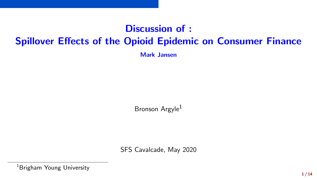# Discussion of : Spillover Effects of the Opioid Epidemic on Consumer Finance

Mark Jansen

Bronson Argyle<sup>1</sup>

SFS Cavalcade, May 2020

<sup>1</sup>Brigham Young University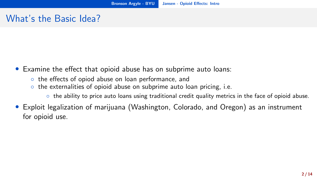#### <span id="page-1-0"></span>What's the Basic Idea?

- Examine the effect that opioid abuse has on subprime auto loans:
	- the effects of opiod abuse on loan performance, and
	- the externalities of opioid abuse on subprime auto loan pricing, i.e.
		- the ability to price auto loans using traditional credit quality metrics in the face of opioid abuse.
- Exploit legalization of marijuana (Washington, Colorado, and Oregon) as an instrument for opioid use.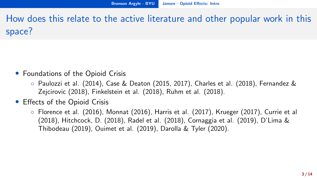How does this relate to the active literature and other popular work in this space?

- Foundations of the Opioid Crisis
	- Paulozzi et al. (2014), Case & Deaton (2015, 2017), Charles et al. (2018), Fernandez & Zejcirovic (2018), Finkelstein et al. (2018), Ruhm et al. (2018).
- Effects of the Opioid Crisis
	- Florence et al. (2016), Monnat (2016), Harris et al. (2017), Krueger (2017), Currie et al (2018), Hitchcock, D. (2018), Radel et al. (2018), Cornaggia et al. (2019), D'Lima & Thibodeau (2019), Ouimet et al. (2019), Darolla & Tyler (2020).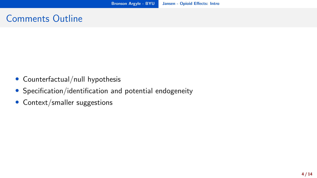#### Comments Outline

- Counterfactual/null hypothesis
- Specification/identification and potential endogeneity
- Context/smaller suggestions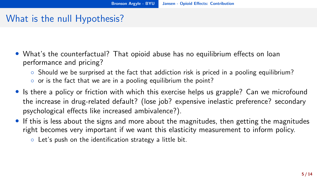### <span id="page-4-0"></span>What is the null Hypothesis?

- What's the counterfactual? That opioid abuse has no equilibrium effects on loan performance and pricing?
	- Should we be surprised at the fact that addiction risk is priced in a pooling equilibrium?
	- or is the fact that we are in a pooling equilibrium the point?
- Is there a policy or friction with which this exercise helps us grapple? Can we microfound the increase in drug-related default? (lose job? expensive inelastic preference? secondary psychological effects like increased ambivalence?).
- If this is less about the signs and more about the magnitudes, then getting the magnitudes right becomes very important if we want this elasticity measurement to inform policy.
	- Let's push on the identification strategy a little bit.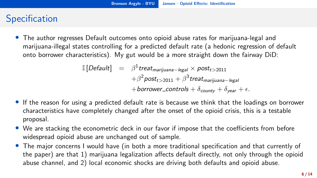## <span id="page-5-0"></span>**Specification**

• The author regresses Default outcomes onto opioid abuse rates for marijuana-legal and marijuana-illegal states controlling for a predicted default rate (a hedonic regression of default onto borrower characteristics). My gut would be a more straight down the fairway DiD:

$$
\begin{array}{rcl}\n\mathbb{I}[Default] & = & \beta^1 treat_{\text{marijuana}-\text{legal}} \times post_{t>2011} \\
& & + \beta^2 post_{t>2011} + \beta^3 treat_{\text{marijuana}-\text{legal}} \\
& & + borrower_{\text{controls}} + \delta_{\text{county}} + \delta_{\text{year}} + \epsilon.\n\end{array}
$$

- If the reason for using a predicted default rate is because we think that the loadings on borrower characteristics have completely changed after the onset of the opioid crisis, this is a testable proposal.
- We are stacking the econometric deck in our favor if impose that the coefficients from before widespread opioid abuse are unchanged out of sample.
- The major concerns I would have (in both a more traditional specification and that currently of the paper) are that 1) marijuana legalization affects default directly, not only through the opioid abuse channel, and 2) local economic shocks are driving both defaults and opioid abuse.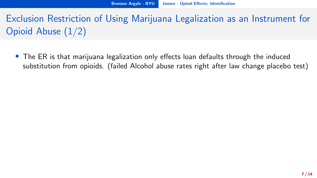Exclusion Restriction of Using Marijuana Legalization as an Instrument for Opioid Abuse (1/2)

• The ER is that marijuana legalization only effects loan defaults through the induced substitution from opioids. (failed Alcohol abuse rates right after law change placebo test)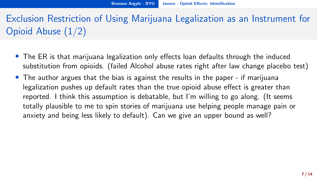Exclusion Restriction of Using Marijuana Legalization as an Instrument for Opioid Abuse (1/2)

- The ER is that marijuana legalization only effects loan defaults through the induced substitution from opioids. (failed Alcohol abuse rates right after law change placebo test)
- The author argues that the bias is against the results in the paper if marijuana legalization pushes up default rates than the true opioid abuse effect is greater than reported. I think this assumption is debatable, but I'm willing to go along. (It seems totally plausible to me to spin stories of marijuana use helping people manage pain or anxiety and being less likely to default). Can we give an upper bound as well?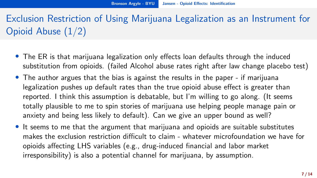Exclusion Restriction of Using Marijuana Legalization as an Instrument for Opioid Abuse (1/2)

- The ER is that marijuana legalization only effects loan defaults through the induced substitution from opioids. (failed Alcohol abuse rates right after law change placebo test)
- The author argues that the bias is against the results in the paper if marijuana legalization pushes up default rates than the true opioid abuse effect is greater than reported. I think this assumption is debatable, but I'm willing to go along. (It seems totally plausible to me to spin stories of marijuana use helping people manage pain or anxiety and being less likely to default). Can we give an upper bound as well?
- It seems to me that the argument that marijuana and opioids are suitable substitutes makes the exclusion restriction difficult to claim - whatever microfoundation we have for opioids affecting LHS variables (e.g., drug-induced financial and labor market irresponsibility) is also a potential channel for marijuana, by assumption.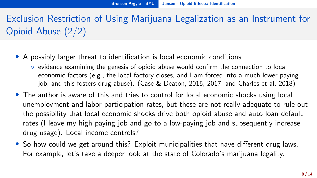Exclusion Restriction of Using Marijuana Legalization as an Instrument for Opioid Abuse (2/2)

- A possibly larger threat to identification is local economic conditions.
	- evidence examining the genesis of opioid abuse would confirm the connection to local economic factors (e.g., the local factory closes, and I am forced into a much lower paying job, and this fosters drug abuse). (Case & Deaton, 2015, 2017, and Charles et al, 2018)
- The author is aware of this and tries to control for local economic shocks using local unemployment and labor participation rates, but these are not really adequate to rule out the possibility that local economic shocks drive both opioid abuse and auto loan default rates (I leave my high paying job and go to a low-paying job and subsequently increase drug usage). Local income controls?
- So how could we get around this? Exploit municipalities that have different drug laws. For example, let's take a deeper look at the state of Colorado's marijuana legality.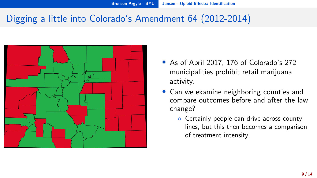### Digging a little into Colorado's Amendment 64 (2012-2014)



- As of April 2017, 176 of Colorado's 272 municipalities prohibit retail marijuana activity.
- Can we examine neighboring counties and compare outcomes before and after the law change?
	- Certainly people can drive across county lines, but this then becomes a comparison of treatment intensity.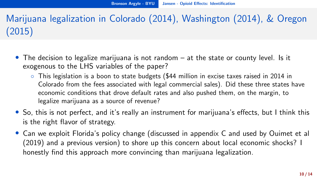Marijuana legalization in Colorado (2014), Washington (2014), & Oregon (2015)

- The decision to legalize marijuana is not random at the state or county level. Is it exogenous to the LHS variables of the paper?
	- This legislation is a boon to state budgets (\$44 million in excise taxes raised in 2014 in Colorado from the fees associated with legal commercial sales). Did these three states have economic conditions that drove default rates and also pushed them, on the margin, to legalize marijuana as a source of revenue?
- So, this is not perfect, and it's really an instrument for marijuana's effects, but I think this is the right flavor of strategy.
- Can we exploit Florida's policy change (discussed in appendix C and used by Ouimet et al (2019) and a previous version) to shore up this concern about local economic shocks? I honestly find this approach more convincing than marijuana legalization.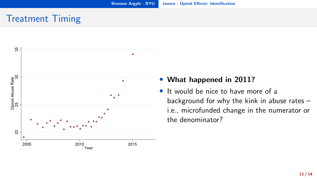#### Treatment Timing



#### • What happened in 2011?

• It would be nice to have more of a background for why the kink in abuse rates – i.e., microfunded change in the numerator or the denominator?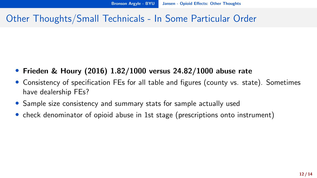#### <span id="page-13-0"></span>Other Thoughts/Small Technicals - In Some Particular Order

- Frieden & Houry (2016) 1.82/1000 versus 24.82/1000 abuse rate
- Consistency of specification FEs for all table and figures (county vs. state). Sometimes have dealership FEs?
- Sample size consistency and summary stats for sample actually used
- check denominator of opioid abuse in 1st stage (prescriptions onto instrument)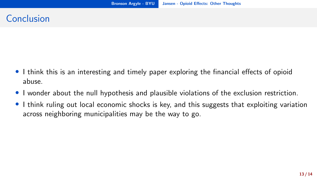#### Conclusion

- I think this is an interesting and timely paper exploring the financial effects of opioid abuse.
- I wonder about the null hypothesis and plausible violations of the exclusion restriction.
- I think ruling out local economic shocks is key, and this suggests that exploiting variation across neighboring municipalities may be the way to go.